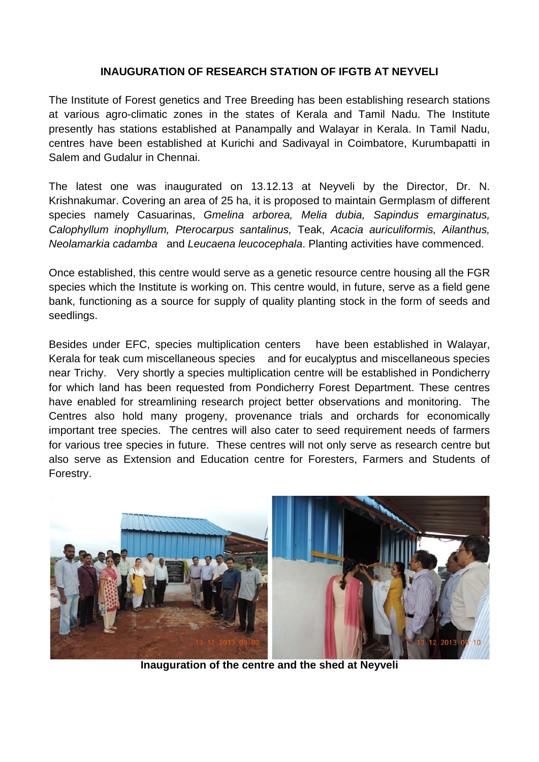## **INAUGURATION OF RESEARCH STATION OF IFGTB AT NEYVELI**

The Institute of Forest genetics and Tree Breeding has been establishing research stations at various agro-climatic zones in the states of Kerala and Tamil Nadu. The Institute presently has stations established at Panampally and Walayar in Kerala. In Tamil Nadu, centres have been established at Kurichi and Sadivayal in Coimbatore, Kurumbapatti in Salem and Gudalur in Chennai.

The latest one was inaugurated on 13.12.13 at Neyveli by the Director, Dr. N. Krishnakumar. Covering an area of 25 ha, it is proposed to maintain Germplasm of different species namely Casuarinas, *Gmelina arborea, Melia dubia, Sapindus emarginatus, Calophyllum inophyllum, Pterocarpus santalinus,* Teak, *Acacia auriculiformis, Ailanthus, Neolamarkia cadamba* and *Leucaena leucocephala*. Planting activities have commenced.

Once established, this centre would serve as a genetic resource centre housing all the FGR species which the Institute is working on. This centre would, in future, serve as a field gene bank, functioning as a source for supply of quality planting stock in the form of seeds and seedlings.

Besides under EFC, species multiplication centers have been established in Walayar, Kerala for teak cum miscellaneous species and for eucalyptus and miscellaneous species near Trichy. Very shortly a species multiplication centre will be established in Pondicherry for which land has been requested from Pondicherry Forest Department. These centres have enabled for streamlining research project better observations and monitoring. The Centres also hold many progeny, provenance trials and orchards for economically important tree species. The centres will also cater to seed requirement needs of farmers for various tree species in future. These centres will not only serve as research centre but also serve as Extension and Education centre for Foresters, Farmers and Students of Forestry.



**Inauguration of the centre and the shed at Neyveli**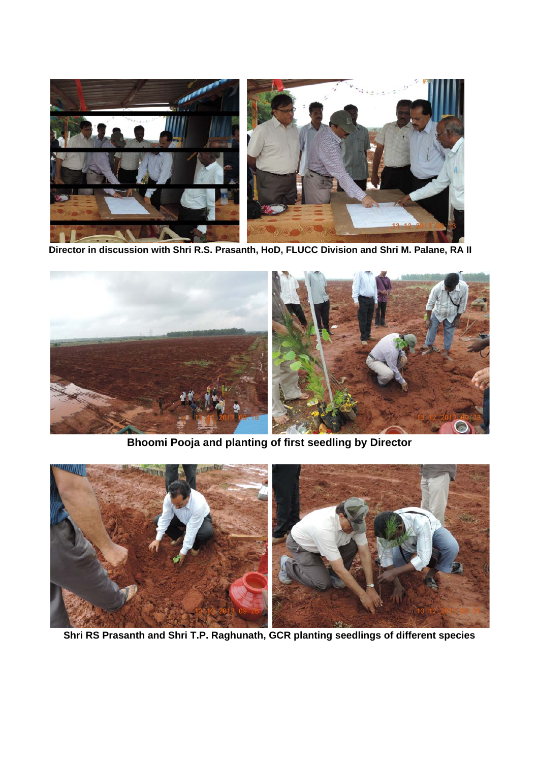

**Director in discussion with Shri R.S. Prasanth, HoD, FLUCC Division and Shri M. Palane, RA II**



**Bhoomi Pooja and planting of first seedling by Director**



**Shri RS Prasanth and Shri T.P. Raghunath, GCR planting seedlings of different species**